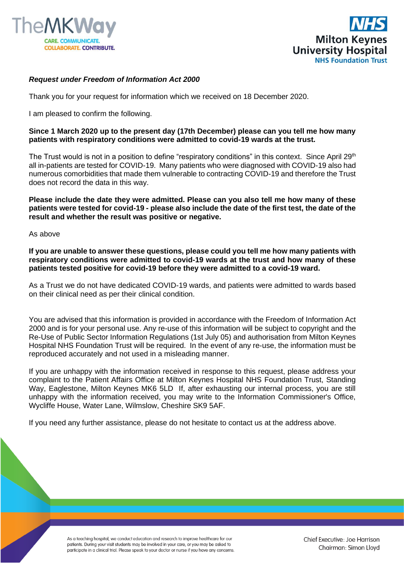



## *Request under Freedom of Information Act 2000*

Thank you for your request for information which we received on 18 December 2020.

I am pleased to confirm the following.

## **Since 1 March 2020 up to the present day (17th December) please can you tell me how many patients with respiratory conditions were admitted to covid-19 wards at the trust.**

The Trust would is not in a position to define "respiratory conditions" in this context. Since April 29<sup>th</sup> all in-patients are tested for COVID-19. Many patients who were diagnosed with COVID-19 also had numerous comorbidities that made them vulnerable to contracting COVID-19 and therefore the Trust does not record the data in this way.

**Please include the date they were admitted. Please can you also tell me how many of these patients were tested for covid-19 - please also include the date of the first test, the date of the result and whether the result was positive or negative.**

As above

**If you are unable to answer these questions, please could you tell me how many patients with respiratory conditions were admitted to covid-19 wards at the trust and how many of these patients tested positive for covid-19 before they were admitted to a covid-19 ward.**

As a Trust we do not have dedicated COVID-19 wards, and patients were admitted to wards based on their clinical need as per their clinical condition.

You are advised that this information is provided in accordance with the Freedom of Information Act 2000 and is for your personal use. Any re-use of this information will be subject to copyright and the Re-Use of Public Sector Information Regulations (1st July 05) and authorisation from Milton Keynes Hospital NHS Foundation Trust will be required. In the event of any re-use, the information must be reproduced accurately and not used in a misleading manner.

If you are unhappy with the information received in response to this request, please address your complaint to the Patient Affairs Office at Milton Keynes Hospital NHS Foundation Trust, Standing Way, Eaglestone, Milton Keynes MK6 5LD If, after exhausting our internal process, you are still unhappy with the information received, you may write to the Information Commissioner's Office, Wycliffe House, Water Lane, Wilmslow, Cheshire SK9 5AF.

If you need any further assistance, please do not hesitate to contact us at the address above.

As a teaching hospital, we conduct education and research to improve healthcare for our patients. During your visit students may be involved in your care, or you may be asked to participate in a clinical trial. Please speak to your doctor or nurse if you have any concerns.